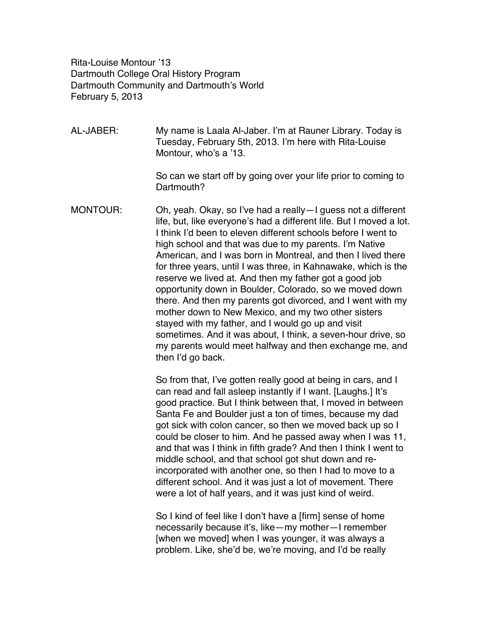Rita-Louise Montour '13 Dartmouth College Oral History Program Dartmouth Community and Dartmouth's World February 5, 2013

AL-JABER: My name is Laala Al-Jaber. I'm at Rauner Library. Today is Tuesday, February 5th, 2013. I'm here with Rita-Louise Montour, who's a '13.

> So can we start off by going over your life prior to coming to Dartmouth?

MONTOUR: Oh, yeah. Okay, so I've had a really—I guess not a different life, but, like everyone's had a different life. But I moved a lot. I think I'd been to eleven different schools before I went to high school and that was due to my parents. I'm Native American, and I was born in Montreal, and then I lived there for three years, until I was three, in Kahnawake, which is the reserve we lived at. And then my father got a good job opportunity down in Boulder, Colorado, so we moved down there. And then my parents got divorced, and I went with my mother down to New Mexico, and my two other sisters stayed with my father, and I would go up and visit sometimes. And it was about, I think, a seven-hour drive, so my parents would meet halfway and then exchange me, and then I'd go back.

> So from that, I've gotten really good at being in cars, and I can read and fall asleep instantly if I want. [Laughs.] It's good practice. But I think between that, I moved in between Santa Fe and Boulder just a ton of times, because my dad got sick with colon cancer, so then we moved back up so I could be closer to him. And he passed away when I was 11, and that was I think in fifth grade? And then I think I went to middle school, and that school got shut down and reincorporated with another one, so then I had to move to a different school. And it was just a lot of movement. There were a lot of half years, and it was just kind of weird.

So I kind of feel like I don't have a [firm] sense of home necessarily because it's, like—my mother—I remember [when we moved] when I was younger, it was always a problem. Like, she'd be, we're moving, and I'd be really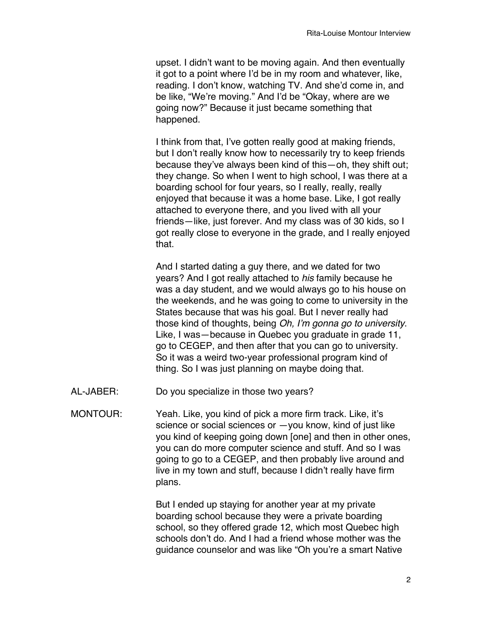upset. I didn't want to be moving again. And then eventually it got to a point where I'd be in my room and whatever, like, reading. I don't know, watching TV. And she'd come in, and be like, "We're moving." And I'd be "Okay, where are we going now?" Because it just became something that happened.

I think from that, I've gotten really good at making friends, but I don't really know how to necessarily try to keep friends because they've always been kind of this—oh, they shift out; they change. So when I went to high school, I was there at a boarding school for four years, so I really, really, really enjoyed that because it was a home base. Like, I got really attached to everyone there, and you lived with all your friends—like, just forever. And my class was of 30 kids, so I got really close to everyone in the grade, and I really enjoyed that.

And I started dating a guy there, and we dated for two years? And I got really attached to *his* family because he was a day student, and we would always go to his house on the weekends, and he was going to come to university in the States because that was his goal. But I never really had those kind of thoughts, being *Oh, I*'*m gonna go to university*. Like, I was—because in Quebec you graduate in grade 11, go to CEGEP, and then after that you can go to university. So it was a weird two-year professional program kind of thing. So I was just planning on maybe doing that.

- AL-JABER: Do you specialize in those two years?
- MONTOUR: Yeah. Like, you kind of pick a more firm track. Like, it's science or social sciences or —you know, kind of just like you kind of keeping going down [one] and then in other ones, you can do more computer science and stuff. And so I was going to go to a CEGEP, and then probably live around and live in my town and stuff, because I didn't really have firm plans.

But I ended up staying for another year at my private boarding school because they were a private boarding school, so they offered grade 12, which most Quebec high schools don't do. And I had a friend whose mother was the guidance counselor and was like "Oh you're a smart Native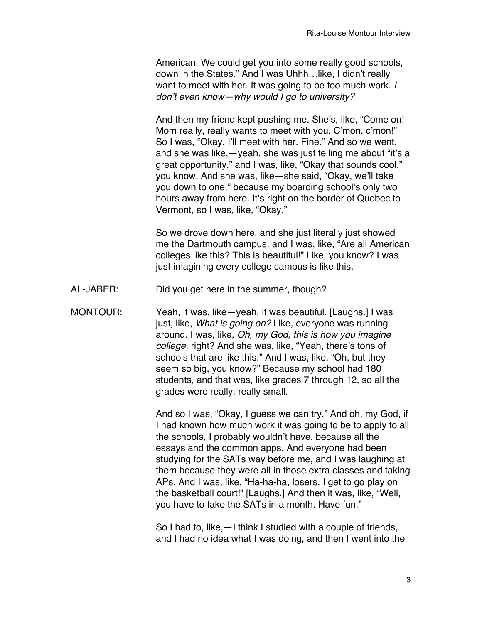American. We could get you into some really good schools, down in the States." And I was Uhhh…like, I didn't really want to meet with her. It was going to be too much work. *I don*'*t even know—why would I go to university?*

And then my friend kept pushing me. She's, like, "Come on! Mom really, really wants to meet with you. C'mon, c'mon!" So I was, "Okay. I'll meet with her. Fine." And so we went, and she was like,—yeah, she was just telling me about "it's a great opportunity," and I was, like, "Okay that sounds cool," you know. And she was, like—she said, "Okay, we'll take you down to one," because my boarding school's only two hours away from here. It's right on the border of Quebec to Vermont, so I was, like, "Okay."

So we drove down here, and she just literally just showed me the Dartmouth campus, and I was, like, "Are all American colleges like this? This is beautiful!" Like, you know? I was just imagining every college campus is like this.

- AL-JABER: Did you get here in the summer, though?
- MONTOUR: Yeah, it was, like—yeah, it was beautiful. [Laughs.] I was just, like, *What is going on?* Like, everyone was running around. I was, like, *Oh, my God, this is how you imagine college,* right? And she was, like, "Yeah, there's tons of schools that are like this." And I was, like, "Oh, but they seem so big, you know?" Because my school had 180 students, and that was, like grades 7 through 12, so all the grades were really, really small.

And so I was, "Okay, I guess we can try." And oh, my God, if I had known how much work it was going to be to apply to all the schools, I probably wouldn't have, because all the essays and the common apps. And everyone had been studying for the SATs way before me, and I was laughing at them because they were all in those extra classes and taking APs. And I was, like, "Ha-ha-ha, losers, I get to go play on the basketball court!" [Laughs.] And then it was, like, "Well, you have to take the SATs in a month. Have fun."

So I had to, like,—I think I studied with a couple of friends, and I had no idea what I was doing, and then I went into the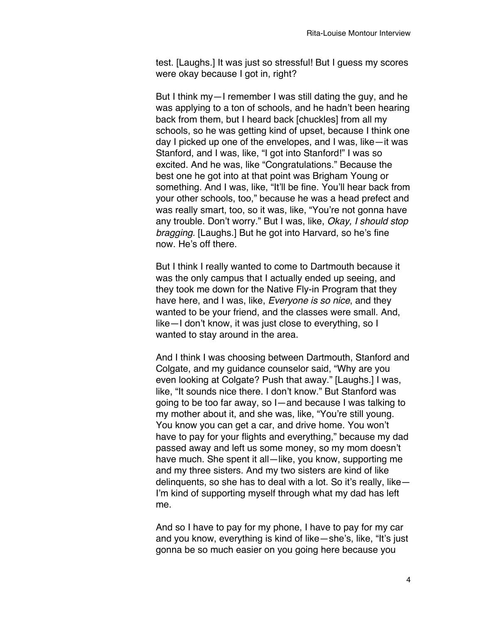test. [Laughs.] It was just so stressful! But I guess my scores were okay because I got in, right?

But I think my—I remember I was still dating the guy, and he was applying to a ton of schools, and he hadn't been hearing back from them, but I heard back [chuckles] from all my schools, so he was getting kind of upset, because I think one day I picked up one of the envelopes, and I was, like—it was Stanford, and I was, like, "I got into Stanford!" I was so excited. And he was, like "Congratulations." Because the best one he got into at that point was Brigham Young or something. And I was, like, "It'll be fine. You'll hear back from your other schools, too," because he was a head prefect and was really smart, too, so it was, like, "You're not gonna have any trouble. Don't worry." But I was, like, *Okay, I should stop bragging.* [Laughs.] But he got into Harvard, so he's fine now. He's off there.

But I think I really wanted to come to Dartmouth because it was the only campus that I actually ended up seeing, and they took me down for the Native Fly-in Program that they have here, and I was, like, *Everyone is so nice*, and they wanted to be your friend, and the classes were small. And, like—I don't know, it was just close to everything, so I wanted to stay around in the area.

And I think I was choosing between Dartmouth, Stanford and Colgate, and my guidance counselor said, "Why are you even looking at Colgate? Push that away." [Laughs.] I was, like, "It sounds nice there. I don't know." But Stanford was going to be too far away, so I—and because I was talking to my mother about it, and she was, like, "You're still young. You know you can get a car, and drive home. You won't have to pay for your flights and everything," because my dad passed away and left us some money, so my mom doesn't have much. She spent it all—like, you know, supporting me and my three sisters. And my two sisters are kind of like delinquents, so she has to deal with a lot. So it's really, like— I'm kind of supporting myself through what my dad has left me.

And so I have to pay for my phone, I have to pay for my car and you know, everything is kind of like—she's, like, "It's just gonna be so much easier on you going here because you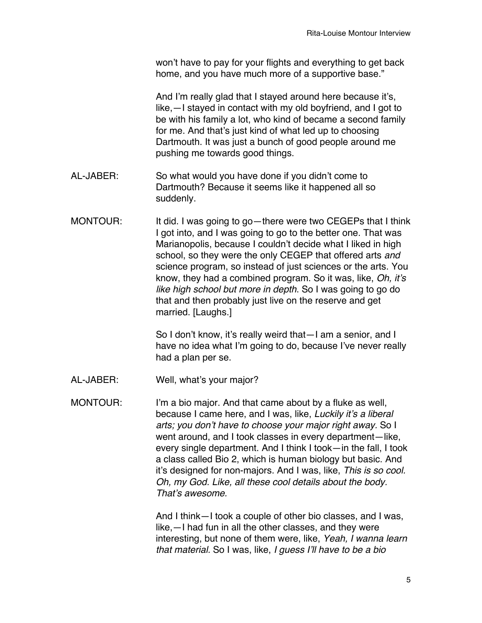won't have to pay for your flights and everything to get back home, and you have much more of a supportive base."

And I'm really glad that I stayed around here because it's, like,—I stayed in contact with my old boyfriend, and I got to be with his family a lot, who kind of became a second family for me. And that's just kind of what led up to choosing Dartmouth. It was just a bunch of good people around me pushing me towards good things.

- AL-JABER: So what would you have done if you didn't come to Dartmouth? Because it seems like it happened all so suddenly.
- MONTOUR: It did. I was going to go—there were two CEGEPs that I think I got into, and I was going to go to the better one. That was Marianopolis, because I couldn't decide what I liked in high school, so they were the only CEGEP that offered arts *and* science program, so instead of just sciences or the arts. You know, they had a combined program. So it was, like, *Oh, it*'*s like high school but more in depth*. So I was going to go do that and then probably just live on the reserve and get married. [Laughs.]

So I don't know, it's really weird that—I am a senior, and I have no idea what I'm going to do, because I've never really had a plan per se.

AL-JABER: Well, what's your major?

MONTOUR: I'm a bio major. And that came about by a fluke as well, because I came here, and I was, like, *Luckily it*'*s a liberal arts; you don*'*t have to choose your major right away.* So I went around, and I took classes in every department—like, every single department. And I think I took—in the fall, I took a class called Bio 2, which is human biology but basic. And it's designed for non-majors. And I was, like, *This is so cool. Oh, my God. Like, all these cool details about the body. That*'*s awesome.*

> And I think—I took a couple of other bio classes, and I was, like,—I had fun in all the other classes, and they were interesting, but none of them were, like, *Yeah, I wanna learn that material.* So I was, like, *I guess I*'*ll have to be a bio*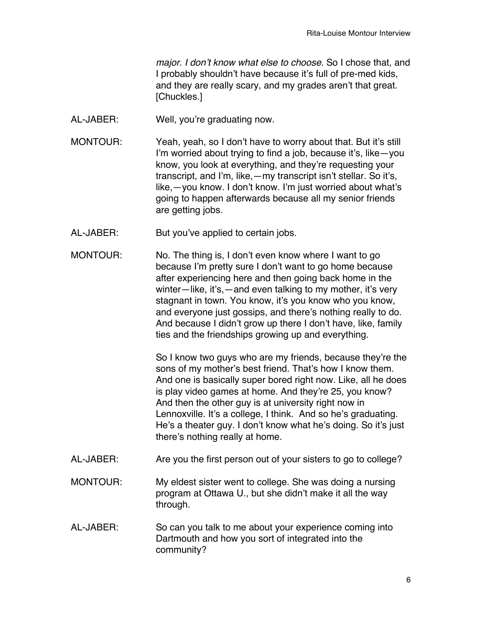*major. I don*'*t know what else to choose.* So I chose that, and I probably shouldn't have because it's full of pre-med kids, and they are really scary, and my grades aren't that great. [Chuckles.]

- AL-JABER: Well, you're graduating now.
- MONTOUR: Yeah, yeah, so I don't have to worry about that. But it's still I'm worried about trying to find a job, because it's, like—you know, you look at everything, and they're requesting your transcript, and I'm, like,—my transcript isn't stellar. So it's, like,—you know. I don't know. I'm just worried about what's going to happen afterwards because all my senior friends are getting jobs.
- AL-JABER: But you've applied to certain jobs.
- MONTOUR: No. The thing is, I don't even know where I want to go because I'm pretty sure I don't want to go home because after experiencing here and then going back home in the winter—like, it's,—and even talking to my mother, it's very stagnant in town. You know, it's you know who you know, and everyone just gossips, and there's nothing really to do. And because I didn't grow up there I don't have, like, family ties and the friendships growing up and everything.

So I know two guys who are my friends, because they're the sons of my mother's best friend. That's how I know them. And one is basically super bored right now. Like, all he does is play video games at home. And they're 25, you know? And then the other guy is at university right now in Lennoxville. It's a college, I think. And so he's graduating. He's a theater guy. I don't know what he's doing. So it's just there's nothing really at home.

- AL-JABER: Are you the first person out of your sisters to go to college?
- MONTOUR: My eldest sister went to college. She was doing a nursing program at Ottawa U., but she didn't make it all the way through.
- AL-JABER: So can you talk to me about your experience coming into Dartmouth and how you sort of integrated into the community?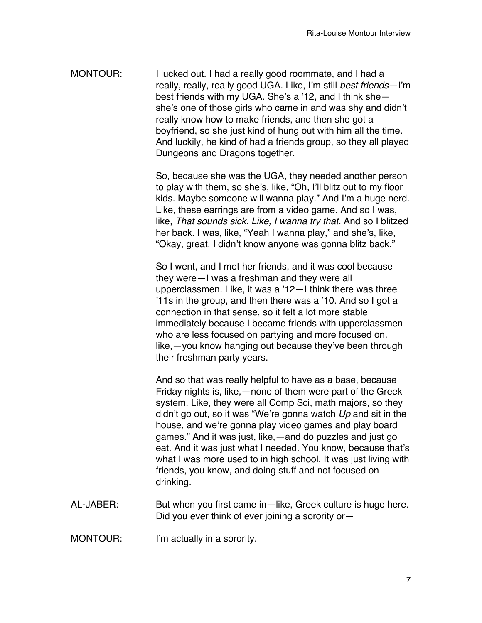MONTOUR: I lucked out. I had a really good roommate, and I had a really, really, really good UGA. Like, I'm still *best friends*—I'm best friends with my UGA. She's a '12, and I think she she's one of those girls who came in and was shy and didn't really know how to make friends, and then she got a boyfriend, so she just kind of hung out with him all the time. And luckily, he kind of had a friends group, so they all played Dungeons and Dragons together.

> So, because she was the UGA, they needed another person to play with them, so she's, like, "Oh, I'll blitz out to my floor kids. Maybe someone will wanna play." And I'm a huge nerd. Like, these earrings are from a video game. And so I was, like, *That sounds sick. Like, I wanna try that.* And so I blitzed her back. I was, like, "Yeah I wanna play," and she's, like, "Okay, great. I didn't know anyone was gonna blitz back."

So I went, and I met her friends, and it was cool because they were—I was a freshman and they were all upperclassmen. Like, it was a '12—I think there was three '11s in the group, and then there was a '10. And so I got a connection in that sense, so it felt a lot more stable immediately because I became friends with upperclassmen who are less focused on partying and more focused on, like,—you know hanging out because they've been through their freshman party years.

And so that was really helpful to have as a base, because Friday nights is, like,—none of them were part of the Greek system. Like, they were all Comp Sci, math majors, so they didn't go out, so it was "We're gonna watch *Up* and sit in the house, and we're gonna play video games and play board games." And it was just, like,—and do puzzles and just go eat. And it was just what I needed. You know, because that's what I was more used to in high school. It was just living with friends, you know, and doing stuff and not focused on drinking.

AL-JABER: But when you first came in—like, Greek culture is huge here. Did you ever think of ever joining a sorority or—

MONTOUR: I'm actually in a sorority.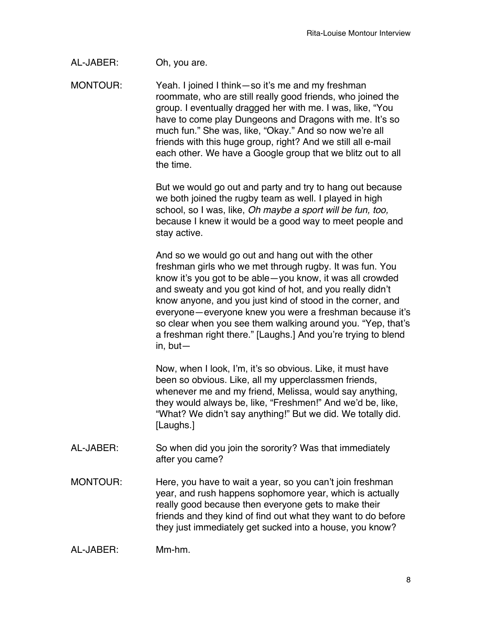AL-JABER: Oh, you are.

MONTOUR: Yeah. I joined I think—so it's me and my freshman roommate, who are still really good friends, who joined the group. I eventually dragged her with me. I was, like, "You have to come play Dungeons and Dragons with me. It's so much fun." She was, like, "Okay." And so now we're all friends with this huge group, right? And we still all e-mail each other. We have a Google group that we blitz out to all the time.

> But we would go out and party and try to hang out because we both joined the rugby team as well. I played in high school, so I was, like, *Oh maybe a sport will be fun, too,* because I knew it would be a good way to meet people and stay active.

And so we would go out and hang out with the other freshman girls who we met through rugby. It was fun. You know it's you got to be able—you know, it was all crowded and sweaty and you got kind of hot, and you really didn't know anyone, and you just kind of stood in the corner, and everyone—everyone knew you were a freshman because it's so clear when you see them walking around you. "Yep, that's a freshman right there." [Laughs.] And you're trying to blend in, but—

Now, when I look, I'm, it's so obvious. Like, it must have been so obvious. Like, all my upperclassmen friends, whenever me and my friend, Melissa, would say anything, they would always be, like, "Freshmen!" And we'd be, like, "What? We didn't say anything!" But we did. We totally did. [Laughs.]

- AL-JABER: So when did you join the sorority? Was that immediately after you came?
- MONTOUR: Here, you have to wait a year, so you can't join freshman year, and rush happens sophomore year, which is actually really good because then everyone gets to make their friends and they kind of find out what they want to do before they just immediately get sucked into a house, you know?

AL-JABER: Mm-hm.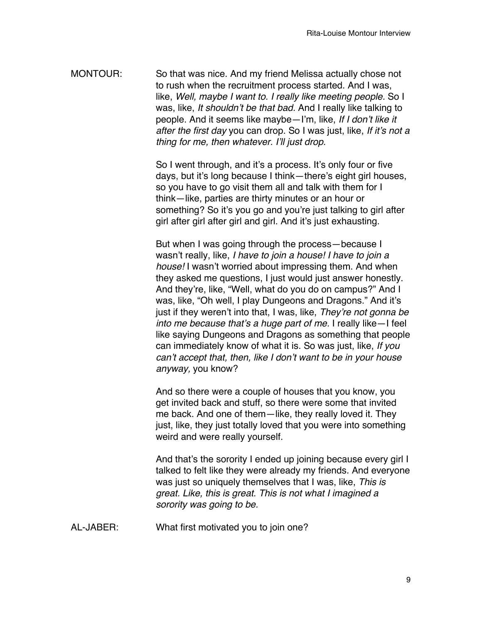MONTOUR: So that was nice. And my friend Melissa actually chose not to rush when the recruitment process started. And I was, like, *Well, maybe I want to. I really like meeting people.* So I was, like, *It shouldn*'*t be that bad.* And I really like talking to people. And it seems like maybe—I'm, like, *If I don*'*t like it after the first day* you can drop. So I was just, like, *If it*'*s not a thing for me, then whatever. I*'*ll just drop.*

> So I went through, and it's a process. It's only four or five days, but it's long because I think—there's eight girl houses, so you have to go visit them all and talk with them for I think—like, parties are thirty minutes or an hour or something? So it's you go and you're just talking to girl after girl after girl after girl and girl. And it's just exhausting.

But when I was going through the process—because I wasn't really, like, *I have to join a house! I have to join a house!* I wasn't worried about impressing them. And when they asked me questions, I just would just answer honestly. And they're, like, "Well, what do you do on campus?" And I was, like, "Oh well, I play Dungeons and Dragons." And it's just if they weren't into that, I was, like, *They*'*re not gonna be into me because that*'*s a huge part of me.* I really like—I feel like saying Dungeons and Dragons as something that people can immediately know of what it is. So was just, like, *If you can*'*t accept that, then, like I don*'*t want to be in your house anyway,* you know?

And so there were a couple of houses that you know, you get invited back and stuff, so there were some that invited me back. And one of them—like, they really loved it. They just, like, they just totally loved that you were into something weird and were really yourself.

And that's the sorority I ended up joining because every girl I talked to felt like they were already my friends. And everyone was just so uniquely themselves that I was, like, *This is great. Like, this is great. This is not what I imagined a sorority was going to be.*

AL-JABER: What first motivated you to join one?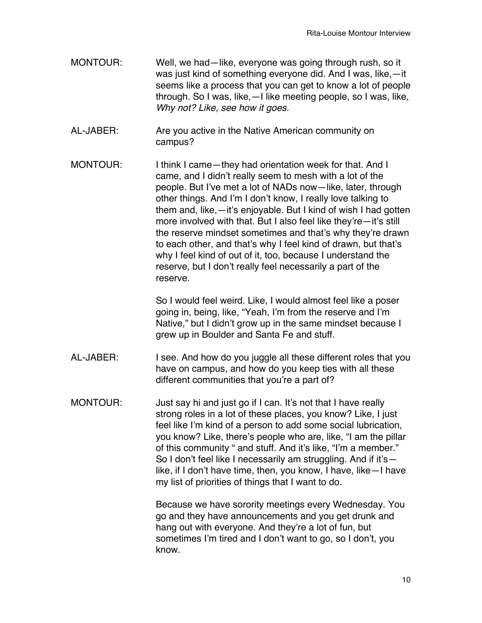- MONTOUR: Well, we had—like, everyone was going through rush, so it was just kind of something everyone did. And I was, like,—it seems like a process that you can get to know a lot of people through. So I was, like,—I like meeting people, so I was, like, *Why not? Like, see how it goes.*
- AL-JABER: Are you active in the Native American community on campus?
- MONTOUR: I think I came—they had orientation week for that. And I came, and I didn't really seem to mesh with a lot of the people. But I've met a lot of NADs now—like, later, through other things. And I'm I don't know, I really love talking to them and, like,—it's enjoyable. But I kind of wish I had gotten more involved with that. But I also feel like they're—it's still the reserve mindset sometimes and that's why they're drawn to each other, and that's why I feel kind of drawn, but that's why I feel kind of out of it, too, because I understand the reserve, but I don't really feel necessarily a part of the reserve.

So I would feel weird. Like, I would almost feel like a poser going in, being, like, "Yeah, I'm from the reserve and I'm Native," but I didn't grow up in the same mindset because I grew up in Boulder and Santa Fe and stuff.

- AL-JABER: I see. And how do you juggle all these different roles that you have on campus, and how do you keep ties with all these different communities that you're a part of?
- MONTOUR: Just say hi and just go if I can. It's not that I have really strong roles in a lot of these places, you know? Like, I just feel like I'm kind of a person to add some social lubrication, you know? Like, there's people who are, like, "I am the pillar of this community " and stuff. And it's like, "I'm a member." So I don't feel like I necessarily am struggling. And if it's like, if I don't have time, then, you know, I have, like—I have my list of priorities of things that I want to do.

Because we have sorority meetings every Wednesday. You go and they have announcements and you get drunk and hang out with everyone. And they're a lot of fun, but sometimes I'm tired and I don't want to go, so I don't, you know.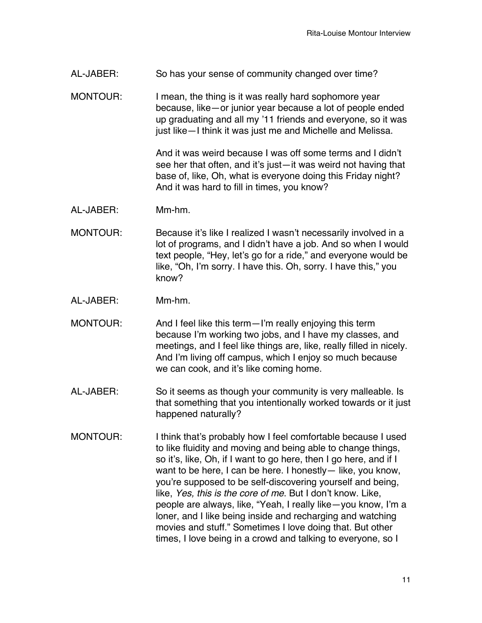AL-JABER: So has your sense of community changed over time?

MONTOUR: I mean, the thing is it was really hard sophomore year because, like—or junior year because a lot of people ended up graduating and all my '11 friends and everyone, so it was just like—I think it was just me and Michelle and Melissa.

> And it was weird because I was off some terms and I didn't see her that often, and it's just—it was weird not having that base of, like, Oh, what is everyone doing this Friday night? And it was hard to fill in times, you know?

- AL-JABER: Mm-hm.
- MONTOUR: Because it's like I realized I wasn't necessarily involved in a lot of programs, and I didn't have a job. And so when I would text people, "Hey, let's go for a ride," and everyone would be like, "Oh, I'm sorry. I have this. Oh, sorry. I have this," you know?
- AL-JABER: Mm-hm.
- MONTOUR: And I feel like this term—I'm really enjoying this term because I'm working two jobs, and I have my classes, and meetings, and I feel like things are, like, really filled in nicely. And I'm living off campus, which I enjoy so much because we can cook, and it's like coming home.
- AL-JABER: So it seems as though your community is very malleable. Is that something that you intentionally worked towards or it just happened naturally?
- MONTOUR: I think that's probably how I feel comfortable because I used to like fluidity and moving and being able to change things, so it's, like, Oh, if I want to go here, then I go here, and if I want to be here, I can be here. I honestly— like, you know, you're supposed to be self-discovering yourself and being, like, *Yes, this is the core of me*. But I don't know. Like, people are always, like, "Yeah, I really like—you know, I'm a loner, and I like being inside and recharging and watching movies and stuff." Sometimes I love doing that. But other times, I love being in a crowd and talking to everyone, so I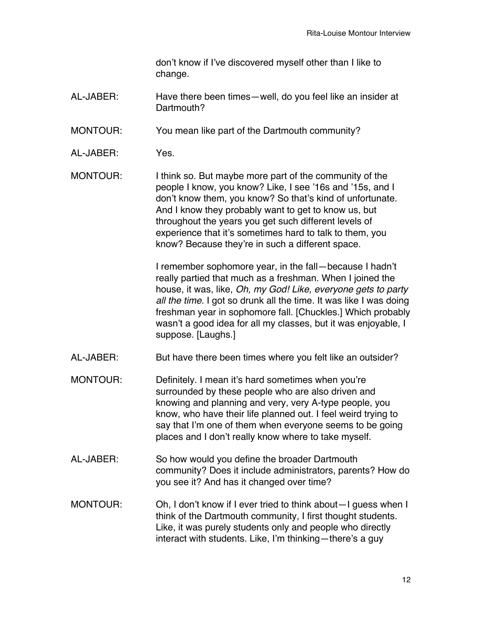don't know if I've discovered myself other than I like to change.

AL-JABER: Have there been times—well, do you feel like an insider at Dartmouth?

MONTOUR: You mean like part of the Dartmouth community?

- AL-JABER: Yes.
- MONTOUR: I think so. But maybe more part of the community of the people I know, you know? Like, I see '16s and '15s, and I don't know them, you know? So that's kind of unfortunate. And I know they probably want to get to know us, but throughout the years you get such different levels of experience that it's sometimes hard to talk to them, you know? Because they're in such a different space.

I remember sophomore year, in the fall—because I hadn't really partied that much as a freshman. When I joined the house, it was, like, *Oh, my God! Like, everyone gets to party all the time.* I got so drunk all the time. It was like I was doing freshman year in sophomore fall. [Chuckles.] Which probably wasn't a good idea for all my classes, but it was enjoyable, I suppose. [Laughs.]

- AL-JABER: But have there been times where you felt like an outsider?
- MONTOUR: Definitely. I mean it's hard sometimes when you're surrounded by these people who are also driven and knowing and planning and very, very A-type people, you know, who have their life planned out. I feel weird trying to say that I'm one of them when everyone seems to be going places and I don't really know where to take myself.
- AL-JABER: So how would you define the broader Dartmouth community? Does it include administrators, parents? How do you see it? And has it changed over time?
- MONTOUR: Oh, I don't know if I ever tried to think about—I guess when I think of the Dartmouth community, I first thought students. Like, it was purely students only and people who directly interact with students. Like, I'm thinking—there's a guy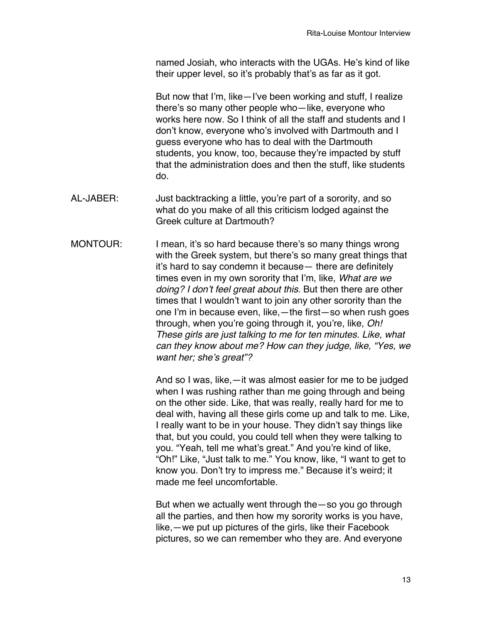named Josiah, who interacts with the UGAs. He's kind of like their upper level, so it's probably that's as far as it got.

But now that I'm, like—I've been working and stuff, I realize there's so many other people who—like, everyone who works here now. So I think of all the staff and students and I don't know, everyone who's involved with Dartmouth and I guess everyone who has to deal with the Dartmouth students, you know, too, because they're impacted by stuff that the administration does and then the stuff, like students do.

- AL-JABER: Just backtracking a little, you're part of a sorority, and so what do you make of all this criticism lodged against the Greek culture at Dartmouth?
- MONTOUR: I mean, it's so hard because there's so many things wrong with the Greek system, but there's so many great things that it's hard to say condemn it because— there are definitely times even in my own sorority that I'm, like, *What are we doing? I don*'*t feel great about this.* But then there are other times that I wouldn't want to join any other sorority than the one I'm in because even, like,—the first—so when rush goes through, when you're going through it, you're, like, *Oh! These girls are just talking to me for ten minutes. Like, what can they know about me? How can they judge, like, "Yes, we want her; she*'*s great"?*

And so I was, like,—it was almost easier for me to be judged when I was rushing rather than me going through and being on the other side. Like, that was really, really hard for me to deal with, having all these girls come up and talk to me. Like, I really want to be in your house. They didn't say things like that, but you could, you could tell when they were talking to you. "Yeah, tell me what's great." And you're kind of like, "Oh!" Like, "Just talk to me." You know, like, "I want to get to know you. Don't try to impress me." Because it's weird; it made me feel uncomfortable.

But when we actually went through the—so you go through all the parties, and then how my sorority works is you have, like,—we put up pictures of the girls, like their Facebook pictures, so we can remember who they are. And everyone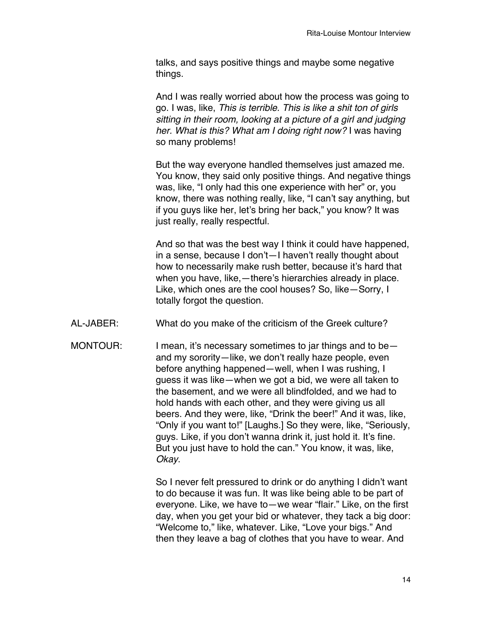talks, and says positive things and maybe some negative things.

And I was really worried about how the process was going to go. I was, like, *This is terrible. This is like a shit ton of girls sitting in their room, looking at a picture of a girl and judging her. What is this? What am I doing right now?* I was having so many problems!

But the way everyone handled themselves just amazed me. You know, they said only positive things. And negative things was, like, "I only had this one experience with her" or, you know, there was nothing really, like, "I can't say anything, but if you guys like her, let's bring her back," you know? It was just really, really respectful.

And so that was the best way I think it could have happened, in a sense, because I don't—I haven't really thought about how to necessarily make rush better, because it's hard that when you have, like,—there's hierarchies already in place. Like, which ones are the cool houses? So, like—Sorry, I totally forgot the question.

- AL-JABER: What do you make of the criticism of the Greek culture?
- MONTOUR: I mean, it's necessary sometimes to jar things and to beand my sorority—like, we don't really haze people, even before anything happened—well, when I was rushing, I guess it was like—when we got a bid, we were all taken to the basement, and we were all blindfolded, and we had to hold hands with each other, and they were giving us all beers. And they were, like, "Drink the beer!" And it was, like, "Only if you want to!" [Laughs.] So they were, like, "Seriously, guys. Like, if you don't wanna drink it, just hold it. It's fine. But you just have to hold the can." You know, it was, like, *Okay*.

So I never felt pressured to drink or do anything I didn't want to do because it was fun. It was like being able to be part of everyone. Like, we have to—we wear "flair." Like, on the first day, when you get your bid or whatever, they tack a big door: "Welcome to," like, whatever. Like, "Love your bigs." And then they leave a bag of clothes that you have to wear. And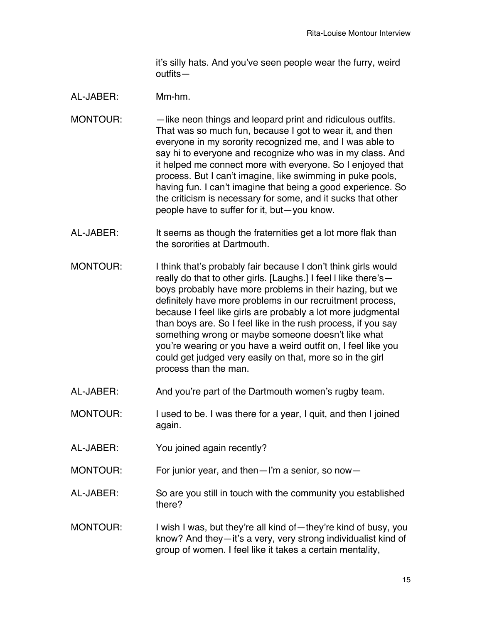it's silly hats. And you've seen people wear the furry, weird outfits—

## AL-JABER: Mm-hm.

- MONTOUR: — like neon things and leopard print and ridiculous outfits. That was so much fun, because I got to wear it, and then everyone in my sorority recognized me, and I was able to say hi to everyone and recognize who was in my class. And it helped me connect more with everyone. So I enjoyed that process. But I can't imagine, like swimming in puke pools, having fun. I can't imagine that being a good experience. So the criticism is necessary for some, and it sucks that other people have to suffer for it, but—you know.
- AL-JABER: It seems as though the fraternities get a lot more flak than the sororities at Dartmouth.
- MONTOUR: I think that's probably fair because I don't think girls would really do that to other girls. [Laughs.] I feel l like there's boys probably have more problems in their hazing, but we definitely have more problems in our recruitment process, because I feel like girls are probably a lot more judgmental than boys are. So I feel like in the rush process, if you say something wrong or maybe someone doesn't like what you're wearing or you have a weird outfit on, I feel like you could get judged very easily on that, more so in the girl process than the man.
- AL-JABER: And you're part of the Dartmouth women's rugby team.
- MONTOUR: I used to be. I was there for a year, I quit, and then I joined again.
- AL-JABER: You joined again recently?
- MONTOUR: For junior year, and then—I'm a senior, so now—
- AL-JABER: So are you still in touch with the community you established there?
- MONTOUR: I wish I was, but they're all kind of—they're kind of busy, you know? And they—it's a very, very strong individualist kind of group of women. I feel like it takes a certain mentality,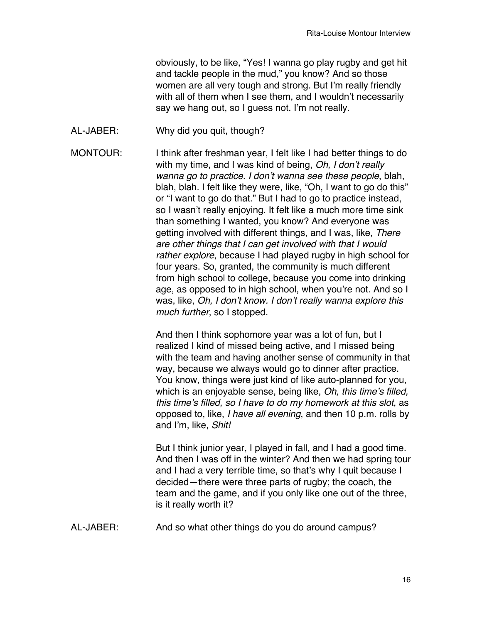obviously, to be like, "Yes! I wanna go play rugby and get hit and tackle people in the mud," you know? And so those women are all very tough and strong. But I'm really friendly with all of them when I see them, and I wouldn't necessarily say we hang out, so I guess not. I'm not really.

AL-JABER: Why did you quit, though?

MONTOUR: I think after freshman year, I felt like I had better things to do with my time, and I was kind of being, *Oh, I don*'*t really wanna go to practice. I don*'*t wanna see these people*, blah, blah, blah. I felt like they were, like, "Oh, I want to go do this" or "I want to go do that." But I had to go to practice instead, so I wasn't really enjoying. It felt like a much more time sink than something I wanted, you know? And everyone was getting involved with different things, and I was, like, *There are other things that I can get involved with that I would rather explore*, because I had played rugby in high school for four years. So, granted, the community is much different from high school to college, because you come into drinking age, as opposed to in high school, when you're not. And so I was, like, *Oh, I don*'*t know. I don*'*t really wanna explore this much further*, so I stopped.

> And then I think sophomore year was a lot of fun, but I realized I kind of missed being active, and I missed being with the team and having another sense of community in that way, because we always would go to dinner after practice. You know, things were just kind of like auto-planned for you, which is an enjoyable sense, being like, *Oh, this time*'*s filled, this time*'*s filled, so I have to do my homework at this slot*, as opposed to, like, *I have all evening*, and then 10 p.m. rolls by and I'm, like, *Shit!*

> But I think junior year, I played in fall, and I had a good time. And then I was off in the winter? And then we had spring tour and I had a very terrible time, so that's why I quit because I decided—there were three parts of rugby; the coach, the team and the game, and if you only like one out of the three, is it really worth it?

AL-JABER: And so what other things do you do around campus?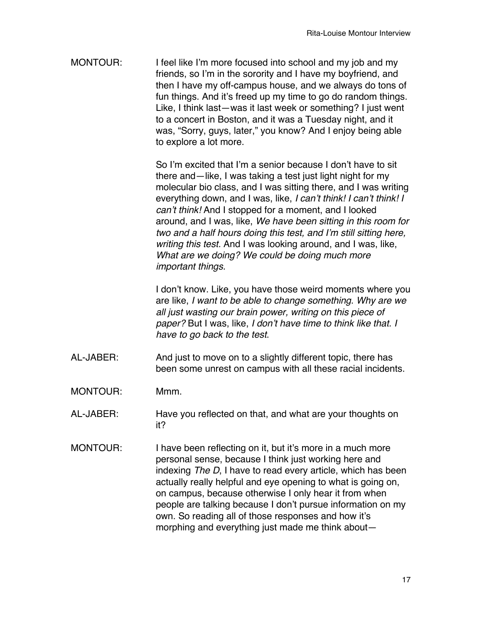MONTOUR: I feel like I'm more focused into school and my job and my friends, so I'm in the sorority and I have my boyfriend, and then I have my off-campus house, and we always do tons of fun things. And it's freed up my time to go do random things. Like, I think last—was it last week or something? I just went to a concert in Boston, and it was a Tuesday night, and it was, "Sorry, guys, later," you know? And I enjoy being able to explore a lot more.

> So I'm excited that I'm a senior because I don't have to sit there and—like, I was taking a test just light night for my molecular bio class, and I was sitting there, and I was writing everything down, and I was, like, *I can*'*t think! I can*'*t think! I can*'*t think!* And I stopped for a moment, and I looked around, and I was, like, *We have been sitting in this room for two and a half hours doing this test, and I*'*m still sitting here, writing this test.* And I was looking around, and I was, like, *What are we doing? We could be doing much more important things.*

> I don't know. Like, you have those weird moments where you are like, *I want to be able to change something*. *Why are we all just wasting our brain power, writing on this piece of paper?* But I was, like, *I don*'*t have time to think like that. I have to go back to the test*.

- AL-JABER: And just to move on to a slightly different topic, there has been some unrest on campus with all these racial incidents.
- MONTOUR: Mmm.
- AL-JABER: Have you reflected on that, and what are your thoughts on it?
- MONTOUR: I have been reflecting on it, but it's more in a much more personal sense, because I think just working here and indexing *The D*, I have to read every article, which has been actually really helpful and eye opening to what is going on, on campus, because otherwise I only hear it from when people are talking because I don't pursue information on my own. So reading all of those responses and how it's morphing and everything just made me think about—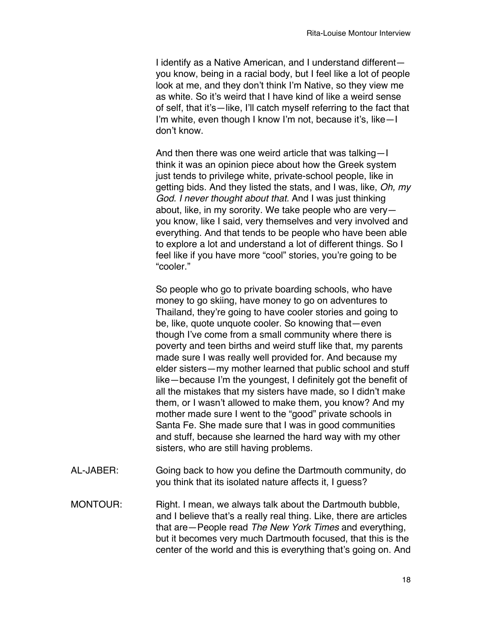I identify as a Native American, and I understand different you know, being in a racial body, but I feel like a lot of people look at me, and they don't think I'm Native, so they view me as white. So it's weird that I have kind of like a weird sense of self, that it's—like, I'll catch myself referring to the fact that I'm white, even though I know I'm not, because it's, like—I don't know.

And then there was one weird article that was talking—I think it was an opinion piece about how the Greek system just tends to privilege white, private-school people, like in getting bids. And they listed the stats, and I was, like, *Oh, my God. I never thought about that.* And I was just thinking about, like, in my sorority. We take people who are very you know, like I said, very themselves and very involved and everything. And that tends to be people who have been able to explore a lot and understand a lot of different things. So I feel like if you have more "cool" stories, you're going to be "cooler."

So people who go to private boarding schools, who have money to go skiing, have money to go on adventures to Thailand, they're going to have cooler stories and going to be, like, quote unquote cooler. So knowing that—even though I've come from a small community where there is poverty and teen births and weird stuff like that, my parents made sure I was really well provided for. And because my elder sisters—my mother learned that public school and stuff like—because I'm the youngest, I definitely got the benefit of all the mistakes that my sisters have made, so I didn't make them, or I wasn't allowed to make them, you know? And my mother made sure I went to the "good" private schools in Santa Fe. She made sure that I was in good communities and stuff, because she learned the hard way with my other sisters, who are still having problems.

- AL-JABER: Going back to how you define the Dartmouth community, do you think that its isolated nature affects it, I guess?
- MONTOUR: Right. I mean, we always talk about the Dartmouth bubble, and I believe that's a really real thing. Like, there are articles that are—People read *The New York Times* and everything, but it becomes very much Dartmouth focused, that this is the center of the world and this is everything that's going on. And